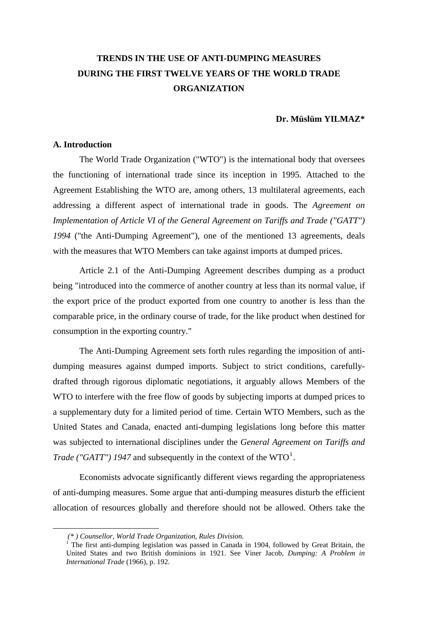# **TRENDS IN THE USE OF ANTI-DUMPING MEASURES DURING THE FIRST TWELVE YEARS OF THE WORLD TRADE ORGANIZATION**

#### **Dr. Müslüm YILMAZ\***

#### **A. Introduction**

 The World Trade Organization ("WTO") is the international body that oversees the functioning of international trade since its inception in 1995. Attached to the Agreement Establishing the WTO are, among others, 13 multilateral agreements, each addressing a different aspect of international trade in goods. The *Agreement on Implementation of Article VI of the General Agreement on Tariffs and Trade ("GATT") 1994* ("the Anti-Dumping Agreement"), one of the mentioned 13 agreements, deals with the measures that WTO Members can take against imports at dumped prices.

 Article 2.1 of the Anti-Dumping Agreement describes dumping as a product being "introduced into the commerce of another country at less than its normal value, if the export price of the product exported from one country to another is less than the comparable price, in the ordinary course of trade, for the like product when destined for consumption in the exporting country."

 The Anti-Dumping Agreement sets forth rules regarding the imposition of antidumping measures against dumped imports. Subject to strict conditions, carefullydrafted through rigorous diplomatic negotiations, it arguably allows Members of the WTO to interfere with the free flow of goods by subjecting imports at dumped prices to a supplementary duty for a limited period of time. Certain WTO Members, such as the United States and Canada, enacted anti-dumping legislations long before this matter was subjected to international disciplines under the *General Agreement on Tariffs and Trade ("GATT") [1](#page-0-0)947* and subsequently in the context of the  $WTO<sup>1</sup>$ .

 Economists advocate significantly different views regarding the appropriateness of anti-dumping measures. Some argue that anti-dumping measures disturb the efficient allocation of resources globally and therefore should not be allowed. Others take the

<span id="page-0-0"></span>1

 *<sup>(\* )</sup> Counsellor, World Trade Organization, Rules Division.* <sup>1</sup>

The first anti-dumping legislation was passed in Canada in 1904, followed by Great Britain, the United States and two British dominions in 1921. See Viner Jacob, *Dumping: A Problem in International Trade* (1966), p. 192.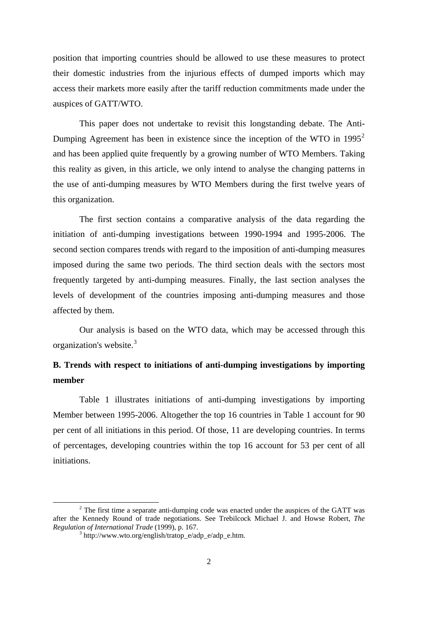position that importing countries should be allowed to use these measures to protect their domestic industries from the injurious effects of dumped imports which may access their markets more easily after the tariff reduction commitments made under the auspices of GATT/WTO.

this organization. This paper does not undertake to revisit this longstanding debate. The Anti-Dumping Agreement has been in existence since the inception of the WTO in 1995<sup>[2](#page-1-0)</sup> and has been applied quite frequently by a growing number of WTO Members. Taking this reality as given, in this article, we only intend to analyse the changing patterns in the use of anti-dumping measures by WTO Members during the first twelve years of

 The first section contains a comparative analysis of the data regarding the initiation of anti-dumping investigations between 1990-1994 and 1995-2006. The second section compares trends with regard to the imposition of anti-dumping measures imposed during the same two periods. The third section deals with the sectors most frequently targeted by anti-dumping measures. Finally, the last section analyses the levels of development of the countries imposing anti-dumping measures and those affected by them.

 Our analysis is based on the WTO data, which may be accessed through this organization's website.[3](#page-1-1)

# **B. Trends with respect to initiations of anti-dumping investigations by importing member**

 Table 1 illustrates initiations of anti-dumping investigations by importing Member between 1995-2006. Altogether the top 16 countries in Table 1 account for 90 per cent of all initiations in this period. Of those, 11 are developing countries. In terms of percentages, developing countries within the top 16 account for 53 per cent of all initiations.

1

<span id="page-1-1"></span><span id="page-1-0"></span> $2$  The first time a separate anti-dumping code was enacted under the auspices of the GATT was after the Kennedy Round of trade negotiations. See Trebilcock Michael J. and Howse Robert, *The Regulation of International Trade* (1999), p. 167.

 $h<sup>3</sup>$ http://www.wto.org/english/tratop\_e/adp\_e/adp\_e.htm.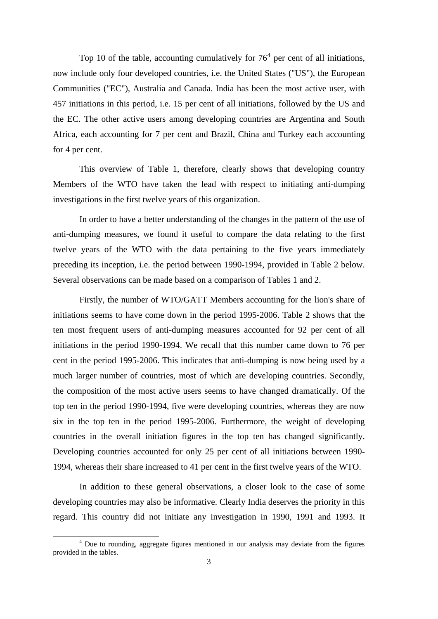Top 10 of the table, accounting cumulatively for  $76<sup>4</sup>$  $76<sup>4</sup>$  $76<sup>4</sup>$  per cent of all initiations, now include only four developed countries, i.e. the United States ("US"), the European Communities ("EC"), Australia and Canada. India has been the most active user, with 457 initiations in this period, i.e. 15 per cent of all initiations, followed by the US and the EC. The other active users among developing countries are Argentina and South Africa, each accounting for 7 per cent and Brazil, China and Turkey each accounting for 4 per cent.

 This overview of Table 1, therefore, clearly shows that developing country Members of the WTO have taken the lead with respect to initiating anti-dumping investigations in the first twelve years of this organization.

 In order to have a better understanding of the changes in the pattern of the use of anti-dumping measures, we found it useful to compare the data relating to the first twelve years of the WTO with the data pertaining to the five years immediately preceding its inception, i.e. the period between 1990-1994, provided in Table 2 below. Several observations can be made based on a comparison of Tables 1 and 2.

 Firstly, the number of WTO/GATT Members accounting for the lion's share of initiations seems to have come down in the period 1995-2006. Table 2 shows that the ten most frequent users of anti-dumping measures accounted for 92 per cent of all initiations in the period 1990-1994. We recall that this number came down to 76 per cent in the period 1995-2006. This indicates that anti-dumping is now being used by a much larger number of countries, most of which are developing countries. Secondly, the composition of the most active users seems to have changed dramatically. Of the top ten in the period 1990-1994, five were developing countries, whereas they are now six in the top ten in the period 1995-2006. Furthermore, the weight of developing countries in the overall initiation figures in the top ten has changed significantly. Developing countries accounted for only 25 per cent of all initiations between 1990- 1994, whereas their share increased to 41 per cent in the first twelve years of the WTO.

 In addition to these general observations, a closer look to the case of some developing countries may also be informative. Clearly India deserves the priority in this regard. This country did not initiate any investigation in 1990, 1991 and 1993. It

1

<span id="page-2-0"></span><sup>&</sup>lt;sup>4</sup> Due to rounding, aggregate figures mentioned in our analysis may deviate from the figures provided in the tables.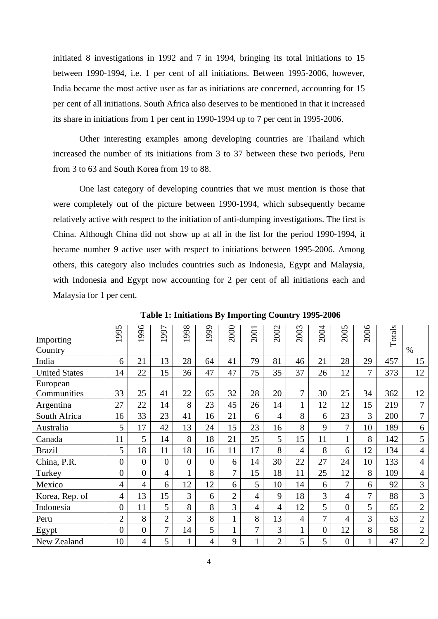initiated 8 investigations in 1992 and 7 in 1994, bringing its total initiations to 15 between 1990-1994, i.e. 1 per cent of all initiations. Between 1995-2006, however, India became the most active user as far as initiations are concerned, accounting for 15 per cent of all initiations. South Africa also deserves to be mentioned in that it increased its share in initiations from 1 per cent in 1990-1994 up to 7 per cent in 1995-2006.

 Other interesting examples among developing countries are Thailand which increased the number of its initiations from 3 to 37 between these two periods, Peru from 3 to 63 and South Korea from 19 to 88.

 One last category of developing countries that we must mention is those that were completely out of the picture between 1990-1994, which subsequently became relatively active with respect to the initiation of anti-dumping investigations. The first is China. Although China did not show up at all in the list for the period 1990-1994, it became number 9 active user with respect to initiations between 1995-2006. Among others, this category also includes countries such as Indonesia, Egypt and Malaysia, with Indonesia and Egypt now accounting for 2 per cent of all initiations each and Malaysia for 1 per cent.

| Importing<br>Country | 1995             | 1996           | 997            | 1998           | 1999           | 2000           | 2001 | 2002           | 2003           | 2004           | 2005           | 2006           | Totals | $\%$           |
|----------------------|------------------|----------------|----------------|----------------|----------------|----------------|------|----------------|----------------|----------------|----------------|----------------|--------|----------------|
| India                | 6                | 21             | 13             | 28             | 64             | 41             | 79   | 81             | 46             | 21             | 28             | 29             | 457    | 15             |
| <b>United States</b> | 14               | 22             | 15             | 36             | 47             | 47             | 75   | 35             | 37             | 26             | 12             | 7              | 373    | 12             |
| European             |                  |                |                |                |                |                |      |                |                |                |                |                |        |                |
| Communities          | 33               | 25             | 41             | 22             | 65             | 32             | 28   | 20             | 7              | 30             | 25             | 34             | 362    | 12             |
| Argentina            | 27               | 22             | 14             | 8              | 23             | 45             | 26   | 14             |                | 12             | 12             | 15             | 219    | $\overline{7}$ |
| South Africa         | 16               | 33             | 23             | 41             | 16             | 21             | 6    | $\overline{4}$ | 8              | 6              | 23             | 3              | 200    | 7              |
| Australia            | 5                | 17             | 42             | 13             | 24             | 15             | 23   | 16             | 8              | 9              | 7              | 10             | 189    | 6              |
| Canada               | 11               | 5              | 14             | 8              | 18             | 21             | 25   | 5              | 15             | 11             | $\mathbf{1}$   | 8              | 142    | 5              |
| <b>Brazil</b>        | 5                | 18             | 11             | 18             | 16             | 11             | 17   | 8              | 4              | 8              | 6              | 12             | 134    | $\overline{4}$ |
| China, P.R.          | $\boldsymbol{0}$ | $\overline{0}$ | $\overline{0}$ | $\overline{0}$ | $\overline{0}$ | 6              | 14   | 30             | 22             | 27             | 24             | 10             | 133    | $\overline{4}$ |
| Turkey               | $\boldsymbol{0}$ | $\overline{0}$ | 4              |                | 8              | 7              | 15   | 18             | 11             | 25             | 12             | 8              | 109    | $\overline{4}$ |
| Mexico               | $\overline{4}$   | $\overline{4}$ | 6              | 12             | 12             | 6              | 5    | 10             | 14             | 6              | $\tau$         | 6              | 92     | 3              |
| Korea, Rep. of       | 4                | 13             | 15             | 3              | 6              | $\overline{2}$ | 4    | 9              | 18             | 3              | 4              | $\overline{7}$ | 88     | 3              |
| Indonesia            | $\boldsymbol{0}$ | 11             | 5              | 8              | 8              | 3              | 4    | $\overline{4}$ | 12             | 5              | $\overline{0}$ | 5              | 65     | $\sqrt{2}$     |
| Peru                 | $\overline{2}$   | 8              | $\overline{2}$ | 3              | 8              | $\mathbf{1}$   | 8    | 13             | $\overline{4}$ | 7              | $\overline{4}$ | 3              | 63     | $\sqrt{2}$     |
| Egypt                | $\overline{0}$   | $\overline{0}$ | 7              | 14             | 5              | $\mathbf{1}$   | 7    | 3              |                | $\overline{0}$ | 12             | 8              | 58     | $\sqrt{2}$     |
| New Zealand          | 10               | 4              | 5              |                | 4              | 9              | 1    | $\overline{2}$ | 5              | 5              | $\overline{0}$ |                | 47     | $\mathbf{2}$   |

**Table 1: Initiations By Importing Country 1995-2006**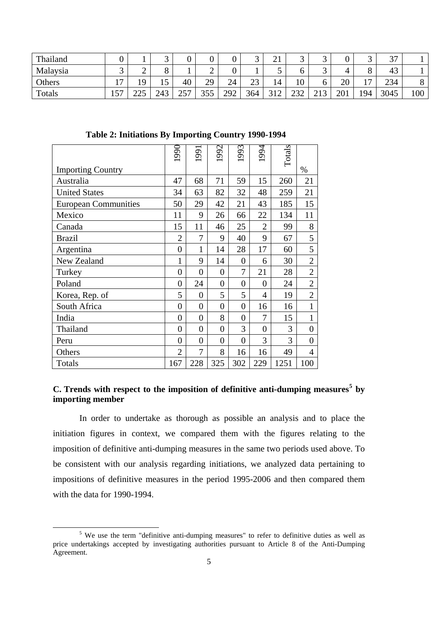| Thailand |                |                                          |     |             | v                 | v   | ັ   | $\bigcap$ 1<br>∠⊥ | ັ            | ັ                             |     | ັ              | $\gamma$ $\tau$<br>، ب |                     |
|----------|----------------|------------------------------------------|-----|-------------|-------------------|-----|-----|-------------------|--------------|-------------------------------|-----|----------------|------------------------|---------------------|
| Malaysia | ັ              | ∽                                        |     |             | ◠<br>∸            |     |     |                   |              | ັ                             |     | 0              | 43                     |                     |
| Others   | $\overline{ }$ | $\Omega$                                 | ⊥J  | 40          | 29<br>ر ب         | 24  | 23  | 14                | 10           | O                             | 20  | $\overline{ }$ | 234                    | $\Omega$<br>$\circ$ |
| Totals   | 157            | $\mathcal{D} \cap \mathcal{L}$<br>ت کا ک | 243 | つよつ<br>، پ∡ | 255<br><u>JJJ</u> | 292 | 364 | 210<br>◡▴▵        | າາາ<br>∟ب∠ ک | $\bigcap$ 1 $\bigcap$<br>ں آگ | 201 | 194            | 3045                   | 100                 |

**Table 2: Initiations By Importing Country 1990-1994** 

|                             | 1990             | 1991             | 1992           | 1993           | 1994           | Totals |                |
|-----------------------------|------------------|------------------|----------------|----------------|----------------|--------|----------------|
| <b>Importing Country</b>    |                  |                  |                |                |                |        | $\%$           |
| Australia                   | 47               | 68               | 71             | 59             | 15             | 260    | 21             |
| <b>United States</b>        | 34               | 63               | 82             | 32             | 48             | 259    | 21             |
| <b>European Communities</b> | 50               | 29               | 42             | 21             | 43             | 185    | 15             |
| Mexico                      | 11               | 9                | 26             | 66             | 22             | 134    | 11             |
| Canada                      | 15               | 11               | 46             | 25             | $\overline{2}$ | 99     | 8              |
| <b>Brazil</b>               | $\overline{2}$   | 7                | 9              | 40             | 9              | 67     | 5              |
| Argentina                   | $\overline{0}$   | $\mathbf{1}$     | 14             | 28             | 17             | 60     | 5              |
| New Zealand                 | $\mathbf{1}$     | 9                | 14             | $\overline{0}$ | 6              | 30     | $\overline{2}$ |
| Turkey                      | $\overline{0}$   | $\overline{0}$   | $\overline{0}$ | 7              | 21             | 28     | $\overline{2}$ |
| Poland                      | $\overline{0}$   | 24               | $\overline{0}$ | $\overline{0}$ | $\overline{0}$ | 24     | $\overline{2}$ |
| Korea, Rep. of              | 5                | $\overline{0}$   | 5              | 5              | 4              | 19     | $\overline{2}$ |
| South Africa                | $\overline{0}$   | $\overline{0}$   | $\overline{0}$ | $\overline{0}$ | 16             | 16     | $\mathbf{1}$   |
| India                       | $\overline{0}$   | $\overline{0}$   | 8              | $\overline{0}$ | 7              | 15     | $\mathbf{1}$   |
| Thailand                    | $\boldsymbol{0}$ | $\boldsymbol{0}$ | $\overline{0}$ | 3              | $\overline{0}$ | 3      | $\overline{0}$ |
| Peru                        | $\overline{0}$   | $\overline{0}$   | $\overline{0}$ | $\overline{0}$ | 3              | 3      | $\overline{0}$ |
| Others                      | $\overline{2}$   | 7                | 8              | 16             | 16             | 49     | 4              |
| Totals                      | 167              | 228              | 325            | 302            | 229            | 1251   | 100            |

# **C. Trends with respect to the imposition of definitive anti-dumping measures[5](#page-4-0) by importing member**

 In order to undertake as thorough as possible an analysis and to place the initiation figures in context, we compared them with the figures relating to the imposition of definitive anti-dumping measures in the same two periods used above. To be consistent with our analysis regarding initiations, we analyzed data pertaining to impositions of definitive measures in the period 1995-2006 and then compared them with the data for 1990-1994.

<span id="page-4-0"></span> $rac{1}{5}$  We use the term "definitive anti-dumping measures" to refer to definitive duties as well as price undertakings accepted by investigating authorities pursuant to Article 8 of the Anti-Dumping Agreement.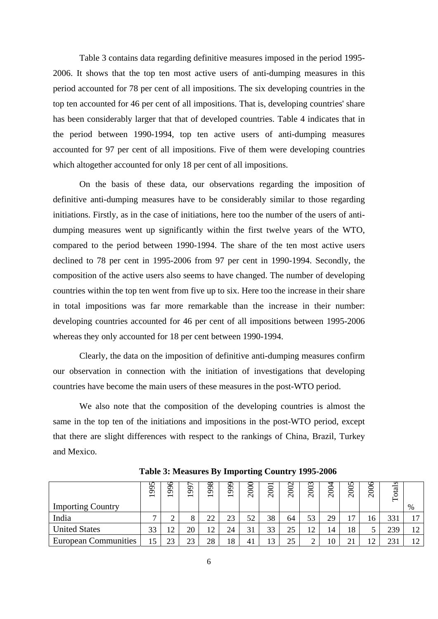Table 3 contains data regarding definitive measures imposed in the period 1995- 2006. It shows that the top ten most active users of anti-dumping measures in this period accounted for 78 per cent of all impositions. The six developing countries in the top ten accounted for 46 per cent of all impositions. That is, developing countries' share has been considerably larger that that of developed countries. Table 4 indicates that in the period between 1990-1994, top ten active users of anti-dumping measures accounted for 97 per cent of all impositions. Five of them were developing countries which altogether accounted for only 18 per cent of all impositions.

 On the basis of these data, our observations regarding the imposition of definitive anti-dumping measures have to be considerably similar to those regarding initiations. Firstly, as in the case of initiations, here too the number of the users of antidumping measures went up significantly within the first twelve years of the WTO, compared to the period between 1990-1994. The share of the ten most active users declined to 78 per cent in 1995-2006 from 97 per cent in 1990-1994. Secondly, the composition of the active users also seems to have changed. The number of developing countries within the top ten went from five up to six. Here too the increase in their share in total impositions was far more remarkable than the increase in their number: developing countries accounted for 46 per cent of all impositions between 1995-2006 whereas they only accounted for 18 per cent between 1990-1994.

 Clearly, the data on the imposition of definitive anti-dumping measures confirm our observation in connection with the initiation of investigations that developing countries have become the main users of these measures in the post-WTO period.

 We also note that the composition of the developing countries is almost the same in the top ten of the initiations and impositions in the post-WTO period, except that there are slight differences with respect to the rankings of China, Brazil, Turkey and Mexico.

|                             | 56<br>$\sigma$<br>$\overline{\phantom{0}}$ | ७<br>Ō<br>Ö<br>$\overline{\phantom{0}}$ | Ò<br>$\sigma$<br>$\overline{\phantom{0}}$ | 98<br>Ō<br>$\overline{\phantom{0}}$ | 90<br>Ō<br>$\overline{\phantom{0}}$ | 2000 | $\overline{\phantom{0}}$<br>$200^\circ$ | 2002 | 2003 | 2004 | 2005 | 2006 | s<br>ctal<br>⊢ |               |
|-----------------------------|--------------------------------------------|-----------------------------------------|-------------------------------------------|-------------------------------------|-------------------------------------|------|-----------------------------------------|------|------|------|------|------|----------------|---------------|
| <b>Importing Country</b>    |                                            |                                         |                                           |                                     |                                     |      |                                         |      |      |      |      |      |                | %             |
| India                       | −                                          | ⌒<br>∸                                  | ð                                         | 22                                  | 23                                  | 52   | 38                                      | 64   | 53   | 29   | 17   | 16   | 331            |               |
| <b>United States</b>        | 33                                         | 12                                      | 20                                        | 12                                  | 24                                  | 31   | 33                                      | 25   | 12   | 14   | 18   |      | 239            | 12            |
| <b>European Communities</b> | $\leq$                                     | 23                                      | 23                                        | 28                                  | 18                                  | 41   | 13                                      | 25   |      | 10   | 21   | 12   | 23             | 12<br>$\perp$ |

**Table 3: Measures By Importing Country 1995-2006**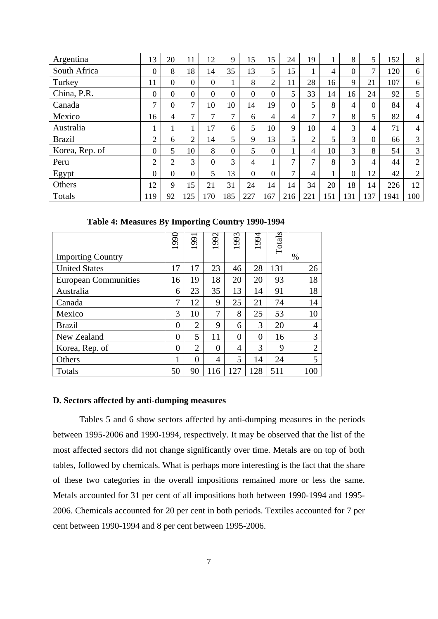| Argentina      | 13             | 20             | 11             | 12             | 9              | 15             | 15             | 24             | 19             |               | 8        | 5        | 152  | 8              |
|----------------|----------------|----------------|----------------|----------------|----------------|----------------|----------------|----------------|----------------|---------------|----------|----------|------|----------------|
| South Africa   | $\overline{0}$ | 8              | 18             | 14             | 35             | 13             | 5              | 15             |                | 4             | $\Omega$ | ⇁        | 120  | 6              |
| Turkey         | 11             | $\Omega$       | $\Omega$       | $\overline{0}$ |                | 8              | 2              | 11             | 28             | 16            | 9        | 21       | 107  | 6              |
| China, P.R.    | $\overline{0}$ | $\Omega$       | $\overline{0}$ | $\overline{0}$ | $\overline{0}$ | $\overline{0}$ | $\overline{0}$ | 5              | 33             | 14            | 16       | 24       | 92   | 5              |
| Canada         | 7              | $\overline{0}$ | $\mathcal{I}$  | 10             | 10             | 14             | 19             | $\overline{0}$ | 5              | 8             | 4        | $\Omega$ | 84   | $\overline{4}$ |
| Mexico         | 16             | 4              | $\mathcal{I}$  | 7              | 7              | 6              | 4              | 4              | $\mathcal{I}$  | $\mathcal{I}$ | 8        | 5        | 82   | 4              |
| Australia      |                |                |                | 17             | 6              | 5              | 10             | 9              | 10             | 4             | 3        | 4        | 71   | $\overline{4}$ |
| <b>Brazil</b>  | 2              | 6              | 2              | 14             | 5              | 9              | 13             | 5              | $\overline{2}$ | 5             | 3        | $\Omega$ | 66   | 3              |
| Korea, Rep. of | $\overline{0}$ | 5              | 10             | 8              | $\overline{0}$ | 5              | $\overline{0}$ |                | 4              | 10            | 3        | 8        | 54   | 3              |
| Peru           | 2              | 2              | 3              | $\overline{0}$ | 3              | $\overline{4}$ |                | $\mathcal{I}$  | $\mathbf{r}$   | 8             | 3        | 4        | 44   | $\overline{2}$ |
| Egypt          | $\overline{0}$ | $\Omega$       | $\overline{0}$ | 5              | 13             | $\overline{0}$ | $\overline{0}$ | $\tau$         | $\overline{4}$ |               | $\theta$ | 12       | 42   | 2              |
| Others         | 12             | 9              | 15             | 21             | 31             | 24             | 14             | 14             | 34             | 20            | 18       | 14       | 226  | 12             |
| Totals         | 119            | 92             | 125            | 170            | 185            | 227            | 167            | 216            | 221            | 151           | 131      | 137      | 1941 | 100            |

**Table 4: Measures By Importing Country 1990-1994**

|                             | 1990           | 991<br>$\overline{\phantom{0}}$ | 1992           | 1993           | 1994           | Totals |                |
|-----------------------------|----------------|---------------------------------|----------------|----------------|----------------|--------|----------------|
| <b>Importing Country</b>    |                |                                 |                |                |                |        | $\%$           |
| <b>United States</b>        | 17             | 17                              | 23             | 46             | 28             | 131    | 26             |
| <b>European Communities</b> | 16             | 19                              | 18             | 20             | 20             | 93     | 18             |
| Australia                   | 6              | 23                              | 35             | 13             | 14             | 91     | 18             |
| Canada                      | 7              | 12                              | 9              | 25             | 21             | 74     | 14             |
| Mexico                      | 3              | 10                              | 7              | 8              | 25             | 53     | 10             |
| <b>Brazil</b>               | $\overline{0}$ | $\overline{2}$                  | 9              | 6              | 3              | 20     | 4              |
| New Zealand                 | $\theta$       | 5                               | 11             | $\overline{0}$ | $\overline{0}$ | 16     | 3              |
| Korea, Rep. of              | $\overline{0}$ | $\overline{2}$                  | $\overline{0}$ | 4              | 3              | 9      | $\overline{2}$ |
| Others                      | 1              | $\overline{0}$                  | $\overline{4}$ | 5              | 14             | 24     | 5              |
| Totals                      | 50             | 90                              | 116            | 127            | 128            | 511    | 100            |

#### **D. Sectors affected by anti-dumping measures**

 Tables 5 and 6 show sectors affected by anti-dumping measures in the periods between 1995-2006 and 1990-1994, respectively. It may be observed that the list of the most affected sectors did not change significantly over time. Metals are on top of both tables, followed by chemicals. What is perhaps more interesting is the fact that the share of these two categories in the overall impositions remained more or less the same. Metals accounted for 31 per cent of all impositions both between 1990-1994 and 1995- 2006. Chemicals accounted for 20 per cent in both periods. Textiles accounted for 7 per cent between 1990-1994 and 8 per cent between 1995-2006.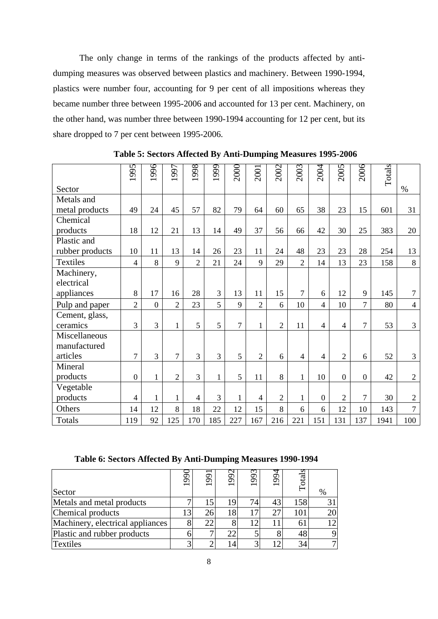The only change in terms of the rankings of the products affected by antidumping measures was observed between plastics and machinery. Between 1990-1994, plastics were number four, accounting for 9 per cent of all impositions whereas they became number three between 1995-2006 and accounted for 13 per cent. Machinery, on the other hand, was number three between 1990-1994 accounting for 12 per cent, but its share dropped to 7 per cent between 1995-2006.

|                 | 1995             | 1996           | 1997           | 1998           | 1999         | 2000           | 2001           | 2002           | 2003           | 2004           | 2005           | 2006           | Totals |                |
|-----------------|------------------|----------------|----------------|----------------|--------------|----------------|----------------|----------------|----------------|----------------|----------------|----------------|--------|----------------|
| Sector          |                  |                |                |                |              |                |                |                |                |                |                |                |        | $\%$           |
| Metals and      |                  |                |                |                |              |                |                |                |                |                |                |                |        |                |
| metal products  | 49               | 24             | 45             | 57             | 82           | 79             | 64             | 60             | 65             | 38             | 23             | 15             | 601    | 31             |
| Chemical        |                  |                |                |                |              |                |                |                |                |                |                |                |        |                |
| products        | 18               | 12             | 21             | 13             | 14           | 49             | 37             | 56             | 66             | 42             | 30             | 25             | 383    | 20             |
| Plastic and     |                  |                |                |                |              |                |                |                |                |                |                |                |        |                |
| rubber products | 10               | 11             | 13             | 14             | 26           | 23             | 11             | 24             | 48             | 23             | 23             | 28             | 254    | 13             |
| Textiles        | $\overline{4}$   | 8              | 9              | $\overline{2}$ | 21           | 24             | 9              | 29             | $\overline{2}$ | 14             | 13             | 23             | 158    | 8              |
| Machinery,      |                  |                |                |                |              |                |                |                |                |                |                |                |        |                |
| electrical      |                  |                |                |                |              |                |                |                |                |                |                |                |        |                |
| appliances      | 8                | 17             | 16             | 28             | 3            | 13             | 11             | 15             | $\overline{7}$ | 6              | 12             | 9              | 145    | $\overline{7}$ |
| Pulp and paper  | $\overline{2}$   | $\overline{0}$ | $\overline{2}$ | 23             | 5            | 9              | $\overline{2}$ | 6              | 10             | 4              | 10             | $\overline{7}$ | 80     | $\overline{4}$ |
| Cement, glass,  |                  |                |                |                |              |                |                |                |                |                |                |                |        |                |
| ceramics        | 3                | 3              | $\mathbf{1}$   | 5              | 5            | $\overline{7}$ | $\mathbf{1}$   | $\overline{2}$ | 11             | $\overline{4}$ | 4              | $\overline{7}$ | 53     | 3              |
| Miscellaneous   |                  |                |                |                |              |                |                |                |                |                |                |                |        |                |
| manufactured    |                  |                |                |                |              |                |                |                |                |                |                |                |        |                |
| articles        | $\overline{7}$   | 3              | $\overline{7}$ | 3              | 3            | 5              | $\overline{2}$ | 6              | $\overline{4}$ | $\overline{4}$ | $\overline{2}$ | 6              | 52     | 3              |
| Mineral         |                  |                |                |                |              |                |                |                |                |                |                |                |        |                |
| products        | $\boldsymbol{0}$ | $\mathbf{1}$   | $\overline{2}$ | 3              | $\mathbf{1}$ | 5              | 11             | 8              | $\mathbf{1}$   | 10             | $\overline{0}$ | $\overline{0}$ | 42     | $\sqrt{2}$     |
| Vegetable       |                  |                |                |                |              |                |                |                |                |                |                |                |        |                |
| products        | 4                | $\mathbf{1}$   | 1              | $\overline{4}$ | 3            | $\mathbf{1}$   | $\overline{4}$ | $\overline{2}$ | 1              | $\Omega$       | $\overline{2}$ | $\overline{7}$ | 30     | $\sqrt{2}$     |
| Others          | 14               | 12             | 8              | 18             | 22           | 12             | 15             | 8              | 6              | 6              | 12             | 10             | 143    | $\overline{7}$ |
| Totals          | 119              | 92             | 125            | 170            | 185          | 227            | 167            | 216            | 221            | 151            | 131            | 137            | 1941   | 100            |

**Table 5: Sectors Affected By Anti-Dumping Measures 1995-2006** 

#### **Table 6: Sectors Affected By Anti-Dumping Measures 1990-1994**

| Sector                           | ğ | 99 | 992 | 993 | 994 |     | % |
|----------------------------------|---|----|-----|-----|-----|-----|---|
| Metals and metal products        |   |    | 19  | 74. | 43  | 158 |   |
| Chemical products                |   | 26 | 18  |     | 27  | 101 |   |
| Machinery, electrical appliances |   |    |     |     |     |     |   |
| Plastic and rubber products      |   |    |     |     |     | 48  |   |
| <b>Textiles</b>                  |   |    |     |     |     | 34  |   |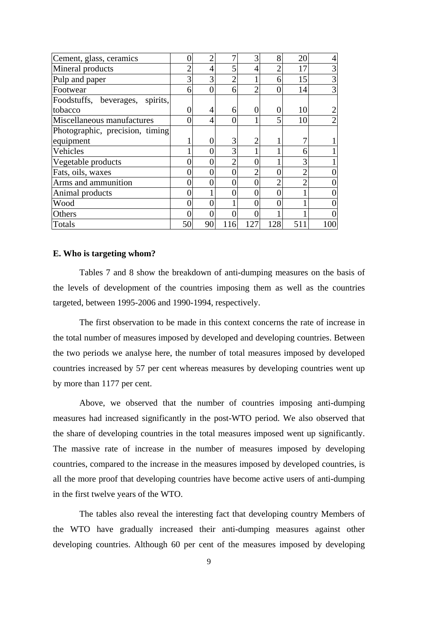| Cement, glass, ceramics         |    |    |     | 3   | 8   | 20  |     |
|---------------------------------|----|----|-----|-----|-----|-----|-----|
| Mineral products                |    |    |     |     | ◠   | 17  |     |
| Pulp and paper                  | 3  |    |     |     | 6   | 15  | 3   |
| Footwear                        | 6  | 0  | 6   |     |     | 14  | 3   |
| Foodstuffs, beverages, spirits, |    |    |     |     |     |     |     |
| tobacco                         |    | 4  | 6   |     |     | 10  |     |
| Miscellaneous manufactures      |    | 4  | 0   |     |     | 10  |     |
| Photographic, precision, timing |    |    |     |     |     |     |     |
| equipment                       |    |    | 3   |     |     |     |     |
| Vehicles                        |    |    | 3   |     |     | 6   |     |
| Vegetable products              |    |    |     |     |     | 3   |     |
| Fats, oils, waxes               |    |    |     |     |     |     |     |
| Arms and ammunition             |    |    | 0   |     |     |     |     |
| Animal products                 |    |    |     |     |     |     |     |
| Wood                            |    |    |     |     |     |     |     |
| Others                          |    |    | 0   |     |     |     |     |
| Totals                          | 50 | 90 | 116 | 127 | 128 | 511 | 100 |

#### **E. Who is targeting whom?**

 Tables 7 and 8 show the breakdown of anti-dumping measures on the basis of the levels of development of the countries imposing them as well as the countries targeted, between 1995-2006 and 1990-1994, respectively.

 The first observation to be made in this context concerns the rate of increase in the total number of measures imposed by developed and developing countries. Between the two periods we analyse here, the number of total measures imposed by developed countries increased by 57 per cent whereas measures by developing countries went up by more than 1177 per cent.

 Above, we observed that the number of countries imposing anti-dumping measures had increased significantly in the post-WTO period. We also observed that the share of developing countries in the total measures imposed went up significantly. The massive rate of increase in the number of measures imposed by developing countries, compared to the increase in the measures imposed by developed countries, is all the more proof that developing countries have become active users of anti-dumping in the first twelve years of the WTO.

 The tables also reveal the interesting fact that developing country Members of the WTO have gradually increased their anti-dumping measures against other developing countries. Although 60 per cent of the measures imposed by developing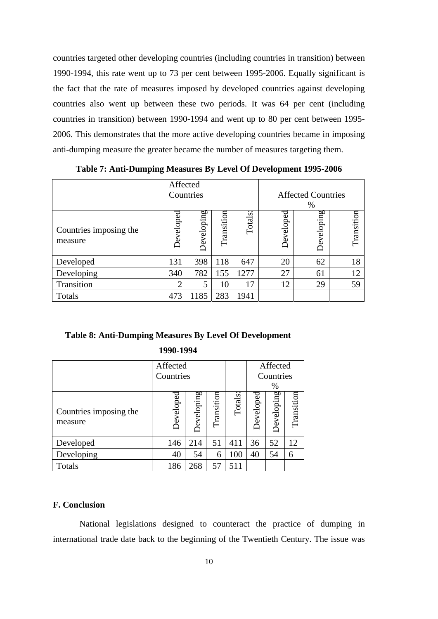countries targeted other developing countries (including countries in transition) between 1990-1994, this rate went up to 73 per cent between 1995-2006. Equally significant is the fact that the rate of measures imposed by developed countries against developing countries also went up between these two periods. It was 64 per cent (including countries in transition) between 1990-1994 and went up to 80 per cent between 1995- 2006. This demonstrates that the more active developing countries became in imposing anti-dumping measure the greater became the number of measures targeting them.

|                                   | Affected       | Countries  |            |                |           | <b>Affected Countries</b><br>% |            |
|-----------------------------------|----------------|------------|------------|----------------|-----------|--------------------------------|------------|
| Countries imposing the<br>measure | Developed      | Developing | Transition | <b>Totals:</b> | Developed | Developing                     | Transition |
| Developed                         | 131            | 398        | 118        | 647            | 20        | 62                             | 18         |
| Developing                        | 340            | 782        | 155        | 1277           | 27        | 61                             | 12         |
| Transition                        | $\overline{2}$ | 5          | 10         | 17             | 12        | 29                             | 59         |
| Totals                            | 473            | 1185       | 283        | 1941           |           |                                |            |

**Table 7: Anti-Dumping Measures By Level Of Development 1995-2006** 

## **Table 8: Anti-Dumping Measures By Level Of Development**

**1990-1994** 

|                                   | Affected  |                   |            |         |           | Affected   |            |
|-----------------------------------|-----------|-------------------|------------|---------|-----------|------------|------------|
|                                   | Countries |                   |            |         |           | Countries  |            |
|                                   |           |                   |            |         |           | %          |            |
| Countries imposing the<br>measure | Developed | <b>Developing</b> | Transition | Totals: | Developed | Developing | Transition |
| Developed                         | 146       | 214               | 51         | 411     | 36        | 52         | 12         |
| Developing                        | 40        | 54                | 6          | 100     | 40        | 54         | 6          |
| Totals                            | 186       | 268               | 57         | 511     |           |            |            |

## **F. Conclusion**

 National legislations designed to counteract the practice of dumping in international trade date back to the beginning of the Twentieth Century. The issue was